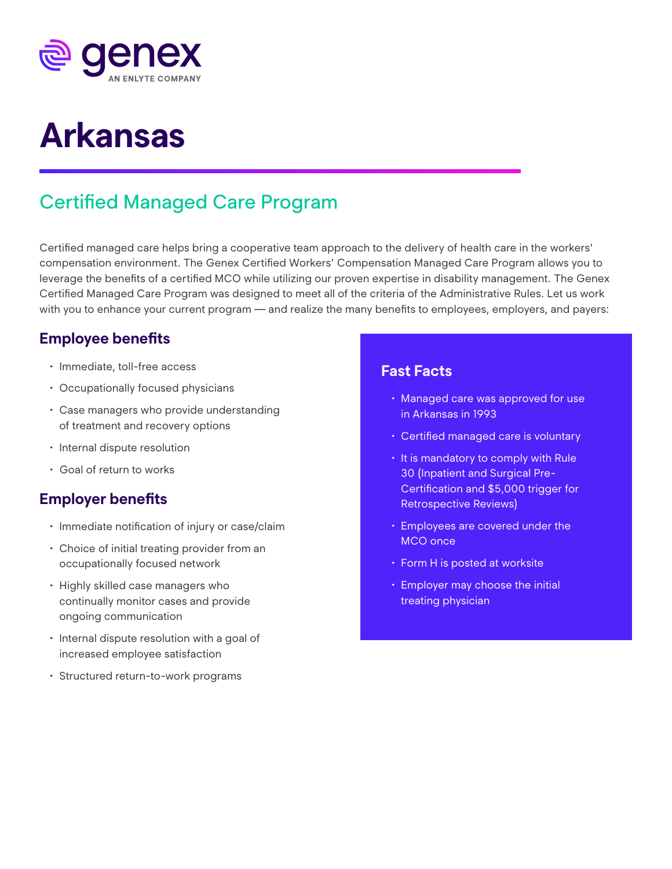

# **Arkansas**

## Certified Managed Care Program

Certified managed care helps bring a cooperative team approach to the delivery of health care in the workers' compensation environment. The Genex Certified Workers' Compensation Managed Care Program allows you to leverage the benefits of a certified MCO while utilizing our proven expertise in disability management. The Genex Certified Managed Care Program was designed to meet all of the criteria of the Administrative Rules. Let us work with you to enhance your current program — and realize the many benefits to employees, employers, and payers:

#### **Employee benefits**

- Immediate, toll-free access
- Occupationally focused physicians
- Case managers who provide understanding of treatment and recovery options
- Internal dispute resolution
- Goal of return to works

#### **Employer benefits**

- Immediate notification of injury or case/claim
- Choice of initial treating provider from an occupationally focused network
- Highly skilled case managers who continually monitor cases and provide ongoing communication
- Internal dispute resolution with a goal of increased employee satisfaction
- Structured return-to-work programs

#### **Fast Facts**

- Managed care was approved for use in Arkansas in 1993
- Certified managed care is voluntary
- It is mandatory to comply with Rule 30 (Inpatient and Surgical Pre-Certification and \$5,000 trigger for Retrospective Reviews)
- Employees are covered under the MCO once
- Form H is posted at worksite
- Employer may choose the initial treating physician